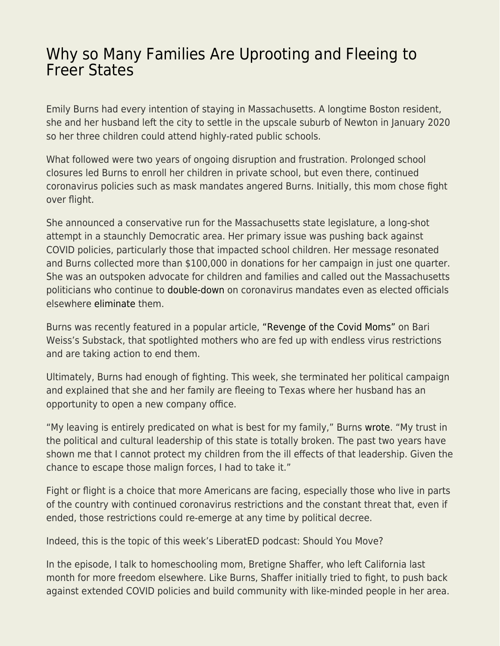## [Why so Many Families Are Uprooting and Fleeing to](https://everything-voluntary.com/why-so-many-families-are-uprooting-and-fleeing-to-freer-states) [Freer States](https://everything-voluntary.com/why-so-many-families-are-uprooting-and-fleeing-to-freer-states)

Emily Burns had every intention of staying in Massachusetts. A longtime Boston resident, she and her husband left the city to settle in the upscale suburb of Newton in January 2020 so her three children could attend highly-rated public schools.

What followed were two years of ongoing disruption and frustration. Prolonged school closures led Burns to enroll her children in private school, but even there, continued coronavirus policies such as mask mandates angered Burns. Initially, this mom chose fight over flight.

She announced a conservative run for the Massachusetts state legislature, a long-shot attempt in a staunchly Democratic area. Her primary issue was pushing back against COVID policies, particularly those that impacted school children. Her message resonated and Burns collected more than \$100,000 in donations for her campaign in just one quarter. She was an outspoken advocate for children and families and called out the Massachusetts politicians who continue to [double-down](https://www.nbcboston.com/news/local/next-phase-of-boston-vaccine-mandate-takes-effect-tuesday-what-you-need-to-know/2644112/?fbclid=IwAR3-38CoPdpq3Jnns9yXgfXQifdqUJZtR8VtQXAPMUarCyG3ReALPQof7pk) on coronavirus mandates even as elected officials elsewhere [eliminate](https://www.washingtonpost.com/dc-md-va/2022/02/14/dc-covid-restrictions-lifted/?fbclid=IwAR0t41IQa1lcfzRUXpUtnLAszoW2VzZ-vi_-cH7MEVumUDt9LoAL95PfNNg) them.

Burns was recently featured in a popular article, ["Revenge of the Covid Moms"](https://bariweiss.substack.com/p/revenge-of-the-covid-moms) on Bari Weiss's Substack, that spotlighted mothers who are fed up with endless virus restrictions and are taking action to end them.

Ultimately, Burns had enough of fighting. This week, she terminated her political campaign and explained that she and her family are fleeing to Texas where her husband has an opportunity to open a new company office.

"My leaving is entirely predicated on what is best for my family," Burns [wrote.](https://www.emilyburns.vote/post/fighting-on-a-different-front) "My trust in the political and cultural leadership of this state is totally broken. The past two years have shown me that I cannot protect my children from the ill effects of that leadership. Given the chance to escape those malign forces, I had to take it."

Fight or flight is a choice that more Americans are facing, especially those who live in parts of the country with continued coronavirus restrictions and the constant threat that, even if ended, those restrictions could re-emerge at any time by political decree.

Indeed, this is the topic of this week's LiberatED podcast: Should You Move?

In the episode, I talk to homeschooling mom, Bretigne Shaffer, who left California last month for more freedom elsewhere. Like Burns, Shaffer initially tried to fight, to push back against extended COVID policies and build community with like-minded people in her area.